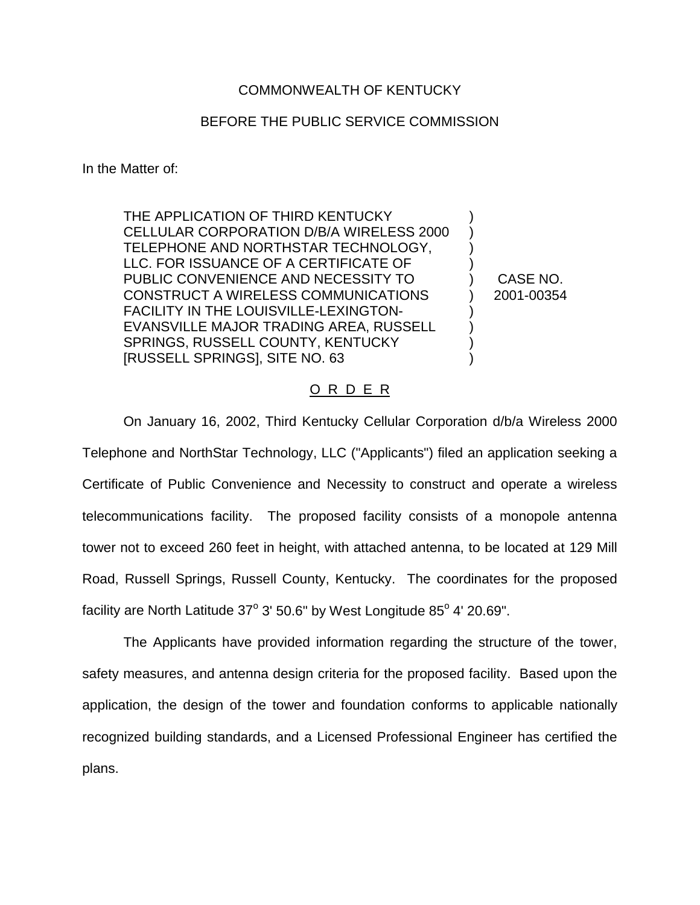## COMMONWEALTH OF KENTUCKY

## BEFORE THE PUBLIC SERVICE COMMISSION

In the Matter of:

THE APPLICATION OF THIRD KENTUCKY CELLULAR CORPORATION D/B/A WIRELESS 2000 TELEPHONE AND NORTHSTAR TECHNOLOGY, LLC. FOR ISSUANCE OF A CERTIFICATE OF PUBLIC CONVENIENCE AND NECESSITY TO CONSTRUCT A WIRELESS COMMUNICATIONS FACILITY IN THE LOUISVILLE-LEXINGTON-EVANSVILLE MAJOR TRADING AREA, RUSSELL SPRINGS, RUSSELL COUNTY, KENTUCKY [RUSSELL SPRINGS], SITE NO. 63

CASE NO. 2001-00354

) ) ) ) ) ) ) ) ) )

## O R D E R

On January 16, 2002, Third Kentucky Cellular Corporation d/b/a Wireless 2000 Telephone and NorthStar Technology, LLC ("Applicants") filed an application seeking a Certificate of Public Convenience and Necessity to construct and operate a wireless telecommunications facility. The proposed facility consists of a monopole antenna tower not to exceed 260 feet in height, with attached antenna, to be located at 129 Mill Road, Russell Springs, Russell County, Kentucky. The coordinates for the proposed facility are North Latitude  $37^{\circ}$  3' 50.6" by West Longitude  $85^{\circ}$  4' 20.69".

The Applicants have provided information regarding the structure of the tower, safety measures, and antenna design criteria for the proposed facility. Based upon the application, the design of the tower and foundation conforms to applicable nationally recognized building standards, and a Licensed Professional Engineer has certified the plans.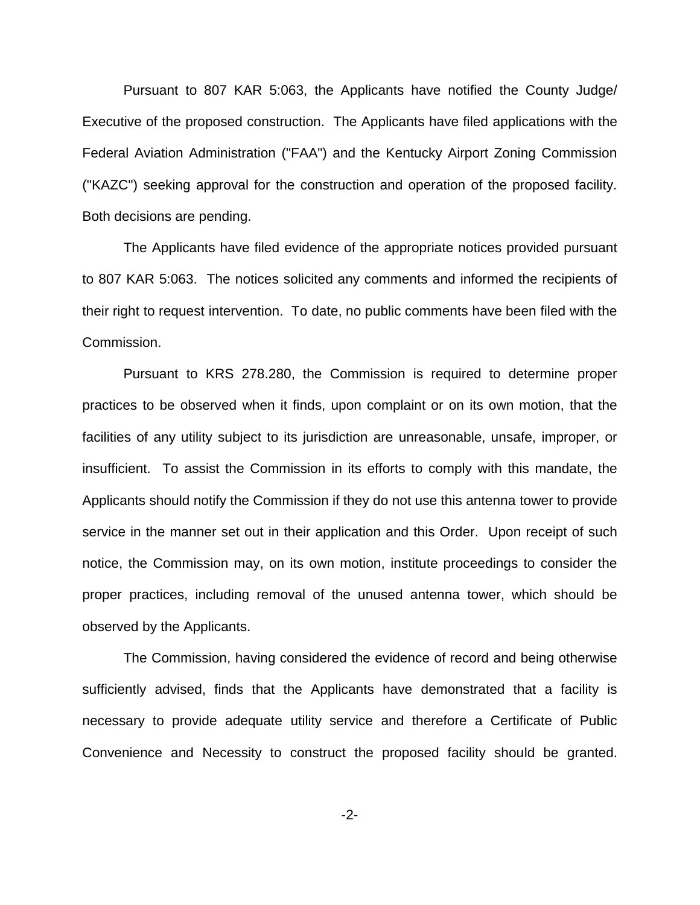Pursuant to 807 KAR 5:063, the Applicants have notified the County Judge/ Executive of the proposed construction. The Applicants have filed applications with the Federal Aviation Administration ("FAA") and the Kentucky Airport Zoning Commission ("KAZC") seeking approval for the construction and operation of the proposed facility. Both decisions are pending.

The Applicants have filed evidence of the appropriate notices provided pursuant to 807 KAR 5:063. The notices solicited any comments and informed the recipients of their right to request intervention. To date, no public comments have been filed with the Commission.

Pursuant to KRS 278.280, the Commission is required to determine proper practices to be observed when it finds, upon complaint or on its own motion, that the facilities of any utility subject to its jurisdiction are unreasonable, unsafe, improper, or insufficient. To assist the Commission in its efforts to comply with this mandate, the Applicants should notify the Commission if they do not use this antenna tower to provide service in the manner set out in their application and this Order. Upon receipt of such notice, the Commission may, on its own motion, institute proceedings to consider the proper practices, including removal of the unused antenna tower, which should be observed by the Applicants.

The Commission, having considered the evidence of record and being otherwise sufficiently advised, finds that the Applicants have demonstrated that a facility is necessary to provide adequate utility service and therefore a Certificate of Public Convenience and Necessity to construct the proposed facility should be granted.

-2-